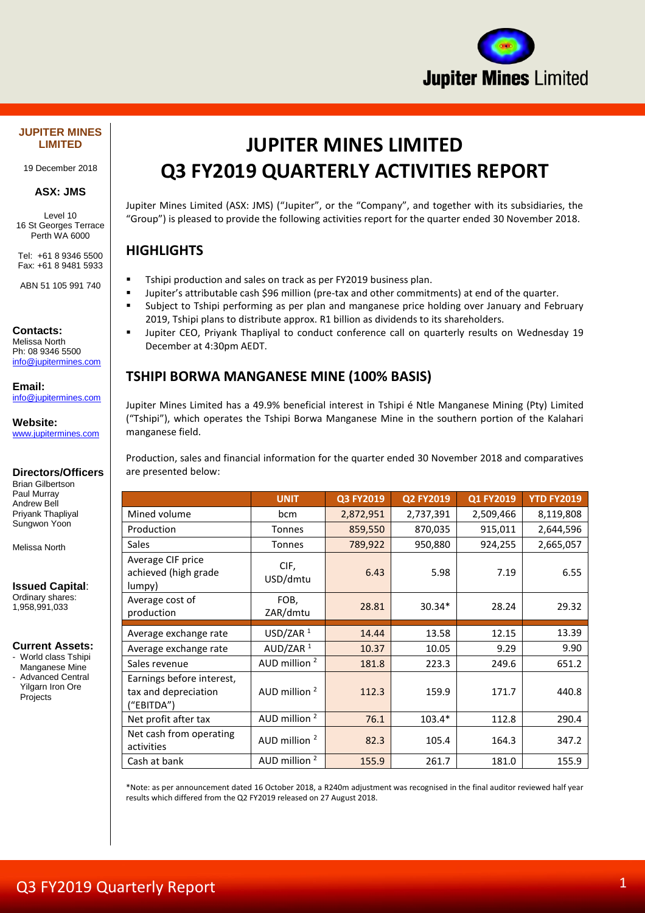

#### **JUPITER MINES LIMITED**

19 December 2018

#### **ASX: JMS**

Level 10 16 St Georges Terrace Perth WA 6000

Tel: +61 8 9346 5500 Fax: +61 8 9481 5933

ABN 51 105 991 740

#### **Contacts:**

Melissa North Ph: 08 9346 5500 [info@jupitermines.com](mailto:info@jupitermines.com)

**Email:** [info@jupitermines.com](mailto:info@jupitermines.com)

**Website:** [www.jupitermines.com](http://www.jupitermines.com/)

#### **Directors/Officers**

Brian Gilbertson Paul Murray Andrew Bell Priyank Thapliyal Sungwon Yoon

Melissa North

#### **Issued Capital**:

Ordinary shares: 1,958,991,033

#### **Current Assets:**

- World class Tshipi
- Manganese Mine
- Advanced Central Yilgarn Iron Ore
- Projects

# **JUPITER MINES LIMITED Q3 FY2019 QUARTERLY ACTIVITIES REPORT**

Jupiter Mines Limited (ASX: JMS) ("Jupiter", or the "Company", and together with its subsidiaries, the "Group") is pleased to provide the following activities report for the quarter ended 30 November 2018.

## **HIGHLIGHTS**

- **■** Tshipi production and sales on track as per FY2019 business plan.
- Jupiter's attributable cash \$96 million (pre-tax and other commitments) at end of the quarter.
- **EXECT Subject to Tshipi performing as per plan and manganese price holding over January and February** 2019, Tshipi plans to distribute approx. R1 billion as dividends to its shareholders.
- Jupiter CEO, Priyank Thapliyal to conduct conference call on quarterly results on Wednesday 19 December at 4:30pm AEDT.

## **TSHIPI BORWA MANGANESE MINE (100% BASIS)**

Jupiter Mines Limited has a 49.9% beneficial interest in Tshipi é Ntle Manganese Mining (Pty) Limited ("Tshipi"), which operates the Tshipi Borwa Manganese Mine in the southern portion of the Kalahari manganese field.

Production, sales and financial information for the quarter ended 30 November 2018 and comparatives are presented below:

|                                                                 | <b>UNIT</b>              | Q3 FY2019 | Q2 FY2019 | Q1 FY2019 | <b>YTD FY2019</b> |
|-----------------------------------------------------------------|--------------------------|-----------|-----------|-----------|-------------------|
| Mined volume                                                    | bcm                      | 2,872,951 | 2,737,391 | 2,509,466 | 8,119,808         |
| Production                                                      | Tonnes                   | 859,550   | 870,035   | 915,011   | 2,644,596         |
| <b>Sales</b>                                                    | <b>Tonnes</b>            | 789,922   | 950,880   | 924,255   | 2,665,057         |
| Average CIF price<br>achieved (high grade<br>lumpy)             | CIF,<br>USD/dmtu         | 6.43      | 5.98      | 7.19      | 6.55              |
| Average cost of<br>production                                   | FOB,<br>ZAR/dmtu         | 28.81     | $30.34*$  | 28.24     | 29.32             |
| Average exchange rate                                           | USD/ZAR <sup>1</sup>     | 14.44     | 13.58     | 12.15     | 13.39             |
| Average exchange rate                                           | AUD/ZAR $1$              | 10.37     | 10.05     | 9.29      | 9.90              |
| Sales revenue                                                   | AUD million <sup>2</sup> | 181.8     | 223.3     | 249.6     | 651.2             |
| Earnings before interest,<br>tax and depreciation<br>("EBITDA") | AUD million $2$          | 112.3     | 159.9     | 171.7     | 440.8             |
| Net profit after tax                                            | AUD million <sup>2</sup> | 76.1      | $103.4*$  | 112.8     | 290.4             |
| Net cash from operating<br>activities                           | AUD million $2$          | 82.3      | 105.4     | 164.3     | 347.2             |
| Cash at bank                                                    | AUD million <sup>2</sup> | 155.9     | 261.7     | 181.0     | 155.9             |

\*Note: as per announcement dated 16 October 2018, a R240m adjustment was recognised in the final auditor reviewed half year results which differed from the Q2 FY2019 released on 27 August 2018.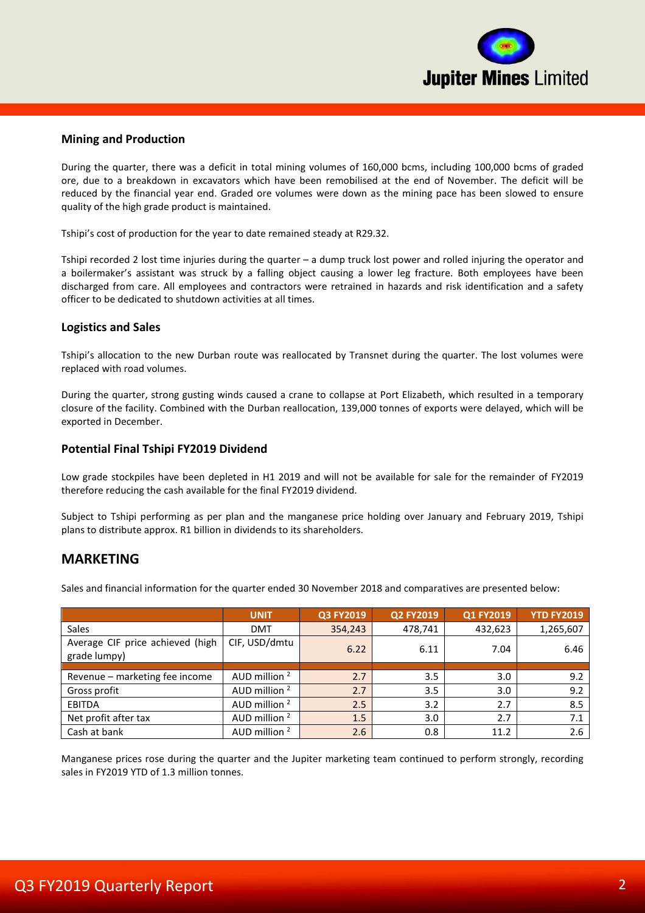

#### **Mining and Production**

During the quarter, there was a deficit in total mining volumes of 160,000 bcms, including 100,000 bcms of graded ore, due to a breakdown in excavators which have been remobilised at the end of November. The deficit will be reduced by the financial year end. Graded ore volumes were down as the mining pace has been slowed to ensure quality of the high grade product is maintained.

Tshipi's cost of production for the year to date remained steady at R29.32.

Tshipi recorded 2 lost time injuries during the quarter – a dump truck lost power and rolled injuring the operator and a boilermaker's assistant was struck by a falling object causing a lower leg fracture. Both employees have been discharged from care. All employees and contractors were retrained in hazards and risk identification and a safety officer to be dedicated to shutdown activities at all times.

#### **Logistics and Sales**

Tshipi's allocation to the new Durban route was reallocated by Transnet during the quarter. The lost volumes were replaced with road volumes.

During the quarter, strong gusting winds caused a crane to collapse at Port Elizabeth, which resulted in a temporary closure of the facility. Combined with the Durban reallocation, 139,000 tonnes of exports were delayed, which will be exported in December.

#### **Potential Final Tshipi FY2019 Dividend**

Low grade stockpiles have been depleted in H1 2019 and will not be available for sale for the remainder of FY2019 therefore reducing the cash available for the final FY2019 dividend.

Subject to Tshipi performing as per plan and the manganese price holding over January and February 2019, Tshipi plans to distribute approx. R1 billion in dividends to its shareholders.

## **MARKETING**

Sales and financial information for the quarter ended 30 November 2018 and comparatives are presented below:

|                                                  | <b>UNIT</b>              | Q3 FY2019 | Q2 FY2019 | Q1 FY2019 | <b>YTD FY2019</b> |
|--------------------------------------------------|--------------------------|-----------|-----------|-----------|-------------------|
| Sales                                            | <b>DMT</b>               | 354,243   | 478,741   | 432,623   | 1,265,607         |
| Average CIF price achieved (high<br>grade lumpy) | CIF, USD/dmtu            | 6.22      | 6.11      | 7.04      | 6.46              |
|                                                  |                          |           |           |           |                   |
| Revenue - marketing fee income                   | AUD million <sup>2</sup> | 2.7       | 3.5       | 3.0       | 9.2               |
| Gross profit                                     | AUD million <sup>2</sup> | 2.7       | 3.5       | 3.0       | 9.2               |
| EBITDA                                           | AUD million <sup>2</sup> | 2.5       | 3.2       | 2.7       | 8.5               |
| Net profit after tax                             | AUD million <sup>2</sup> | 1.5       | 3.0       | 2.7       | 7.1               |
| Cash at bank                                     | AUD million <sup>2</sup> | 2.6       | 0.8       | 11.2      | 2.6               |

Manganese prices rose during the quarter and the Jupiter marketing team continued to perform strongly, recording sales in FY2019 YTD of 1.3 million tonnes.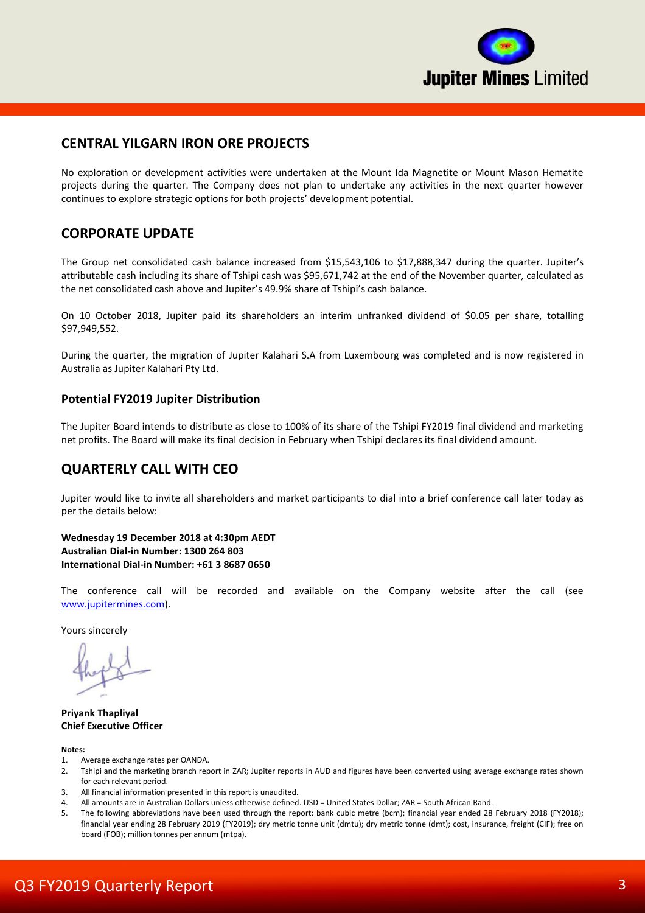

## **CENTRAL YILGARN IRON ORE PROJECTS**

No exploration or development activities were undertaken at the Mount Ida Magnetite or Mount Mason Hematite projects during the quarter. The Company does not plan to undertake any activities in the next quarter however continues to explore strategic options for both projects' development potential.

## **CORPORATE UPDATE**

The Group net consolidated cash balance increased from \$15,543,106 to \$17,888,347 during the quarter. Jupiter's attributable cash including its share of Tshipi cash was \$95,671,742 at the end of the November quarter, calculated as the net consolidated cash above and Jupiter's 49.9% share of Tshipi's cash balance.

On 10 October 2018, Jupiter paid its shareholders an interim unfranked dividend of \$0.05 per share, totalling \$97,949,552.

During the quarter, the migration of Jupiter Kalahari S.A from Luxembourg was completed and is now registered in Australia as Jupiter Kalahari Pty Ltd.

#### **Potential FY2019 Jupiter Distribution**

The Jupiter Board intends to distribute as close to 100% of its share of the Tshipi FY2019 final dividend and marketing net profits. The Board will make its final decision in February when Tshipi declares its final dividend amount.

## **QUARTERLY CALL WITH CEO**

Jupiter would like to invite all shareholders and market participants to dial into a brief conference call later today as per the details below:

**Wednesday 19 December 2018 at 4:30pm AEDT Australian Dial-in Number: 1300 264 803 International Dial-in Number: +61 3 8687 0650**

The conference call will be recorded and available on the Company website after the call (see [www.jupitermines.com\)](http://www.jupitermines.com/).

Yours sincerely

**Priyank Thapliyal Chief Executive Officer**

#### **Notes:**

- 1. Average exchange rates per OANDA.
- 2. Tshipi and the marketing branch report in ZAR; Jupiter reports in AUD and figures have been converted using average exchange rates shown for each relevant period.
- 3. All financial information presented in this report is unaudited.
- 4. All amounts are in Australian Dollars unless otherwise defined. USD = United States Dollar; ZAR = South African Rand.
- 5. The following abbreviations have been used through the report: bank cubic metre (bcm); financial year ended 28 February 2018 (FY2018); financial year ending 28 February 2019 (FY2019); dry metric tonne unit (dmtu); dry metric tonne (dmt); cost, insurance, freight (CIF); free on board (FOB); million tonnes per annum (mtpa).